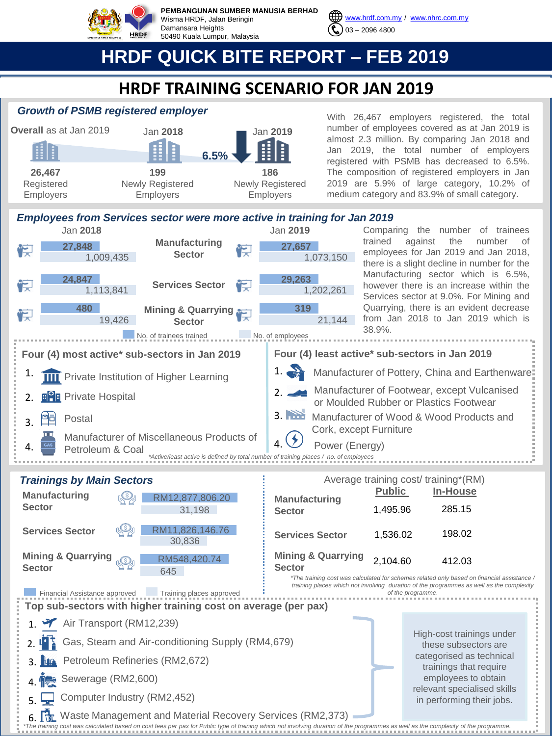

**PEMBANGUNAN SUMBER MANUSIA BERHAD** Wisma HRDF, Jalan Beringin Damansara Heights 50490 Kuala Lumpur, Malaysia



[www.hrdf.com.my](http://www.hrdf.com.my/) / [www.nhrc.com.my](http://www.nhrc.com.my/) 03 – 2096 4800

# **HRDF QUICK BITE REPORT – FEB 2019**

## **HRDF TRAINING SCENARIO FOR JAN 2019**